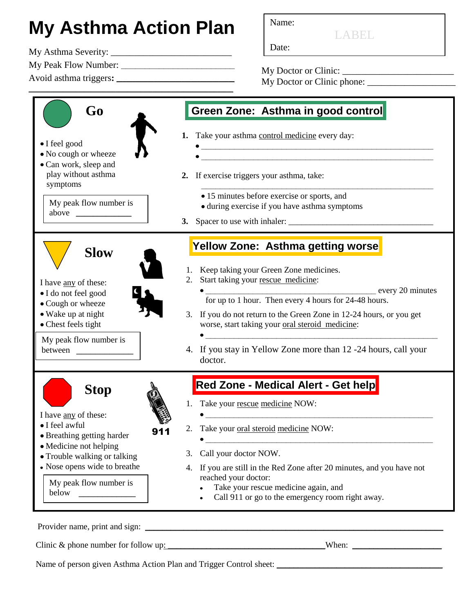## **My Asthma Action Plan** Name:

Date: My Asthma Severity: \_\_\_\_\_\_\_\_\_\_\_\_\_\_\_\_\_\_\_\_\_\_\_\_\_\_

My Peak Flow Number: **\_\_\_\_\_\_\_\_\_\_\_\_\_\_\_\_\_\_\_\_\_\_\_\_**

Avoid asthma triggers**: \_\_\_\_\_\_\_\_\_\_\_\_\_\_\_\_\_\_\_\_\_\_\_\_\_\_\_\_\_\_\_\_\_\_\_\_\_\_**

LABEL

My Doctor or Clinic: \_\_\_\_\_\_\_\_\_\_\_\_\_\_\_\_\_\_\_\_\_\_\_\_ My Doctor or Clinic phone:



Clinic & phone number for follow up: \_\_\_\_\_\_\_\_\_\_\_\_\_\_\_\_\_\_\_\_\_\_\_\_\_\_\_\_\_\_\_\_\_\_\_\_\_When: \_\_\_\_\_\_\_\_\_\_\_\_\_\_\_\_\_\_\_\_\_

Name of person given Asthma Action Plan and Trigger Control sheet: \_\_\_\_\_\_\_\_\_\_\_\_\_\_\_\_\_\_\_\_\_\_\_\_\_\_\_\_\_\_\_\_\_\_\_\_\_\_\_